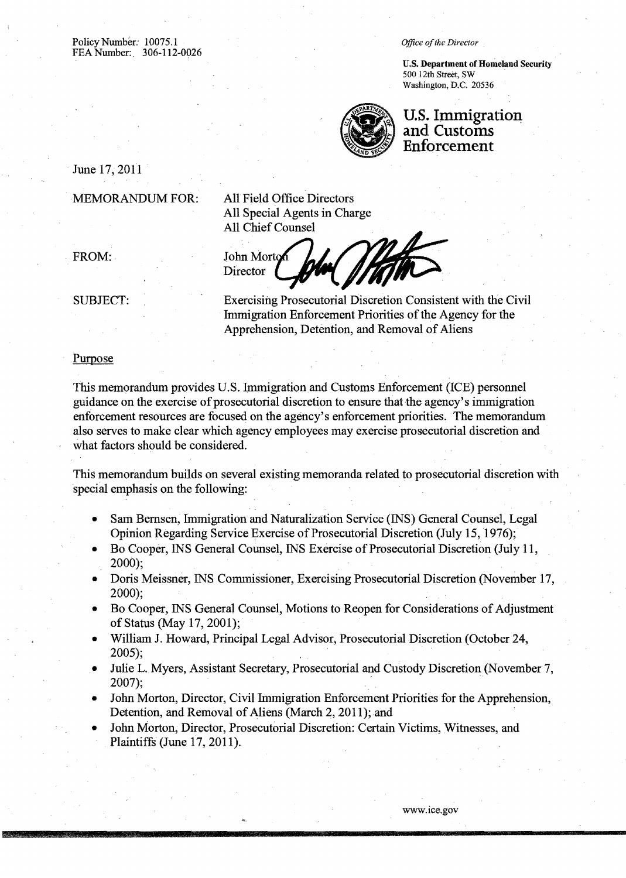Policy Number: 10075.1 *Office of the Director* FEA Number: 306·112·0026

U.S. Department of Homeland Security 500 12th Street, SW Washington, D.C. 20536



**U.S. Immigration and Customs Enforcement** 

. June 17, 2011

FROM:

MEMORANDUM FOR: All Field Office Directors All Special Agents in Charge All Chief Counsel

John Morto Director

SUBJECT: Exercising Prosecutorial Discretion Consistent with the Civil Immigration Enforcement Priorities of the Agency for the Apprehension, Detention, and Removal of Aliens

#### Purpose

This memorandum provides U.S. Immigration and Customs Enforcement (ICE) personnel guidance on the exercise of prosecutorial discretion to ensure that the agency's immigration enforcement resources are focused on the agency's enforcement priorities. The memorandum also serves to make clear which agency employees may exercise prosecutorial discretion and what factors should be considered.

This memorandum builds on several existing memoranda related to prosecutorial discretion with special emphasis on the following:

- Sam Bernsen, Immigration and Naturalization Service (INS) General Counsel, Legal Opinion Regarding Service Exercise of Prosecutorial Discretion (July 15, 1976);
- Bo Cooper, INS General Counsel, INS Exercise of Prosecutorial Discretion (July 11, 2000);
- Doris Meissner, INS Commissioner, Exercising Prosecutorial Discretion (November 17, 2000);
- Bo Cooper, INS General Counsel, Motions to Reopen for Considerations of Adjustment of Status (May 17, 2001);
- William J. Howard, Principal Legal Advisor, Prosecutorial Discretion (October 24, 2005);
- Julie L. Myers, Assistant Secretary, Prosecutorial and Custody Discretion (November 7, Sam Bernsen, Immigration and Naturalization Service (INS) General Counsel, Legal<br>Opinion Regarding Service Exercise of Prosecutorial Discretion (July 15, 1976);<br>Bo Cooper, INS General Counsel, INS Exercise of Prosecutorial
- John Morton, Director, Civil Immigration Enforcement Priorities for the Apprehension, Detention, and Removal of Aliens (March 2, 2011); and
- John Morton, Director, Prosecutorial Discretion: Certain Victims, Witnesses, and
- Plaintiffs (June 17,2011).

iSi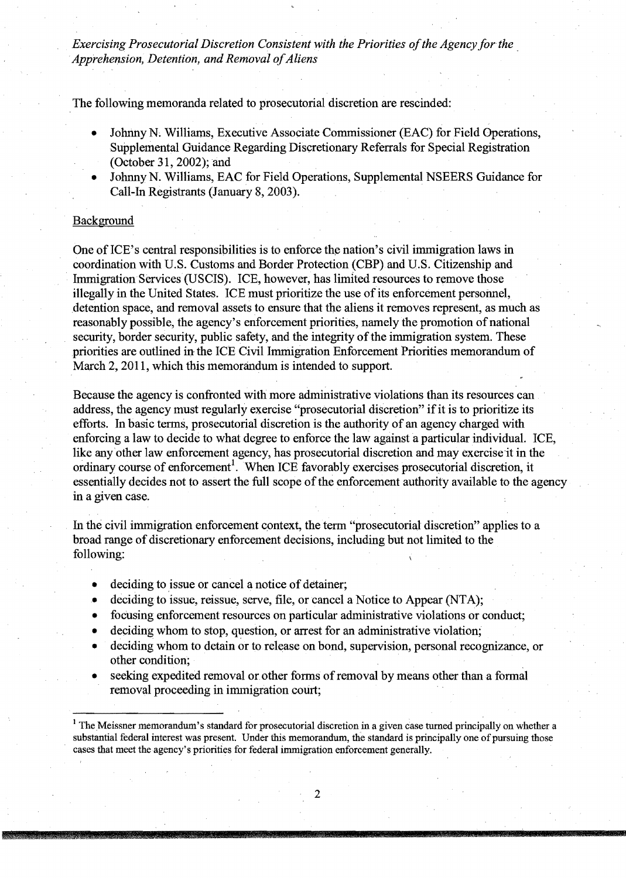*Exercising Prosecutorial Discretion Consistent with the Priorities of the Agency for the* Apprehension, Detention, and Removal of Aliens

The following memoranda related to prosecutorial discretion are rescinded:

- Johnny N; Williams, Executive Associate Commissioner (EAC) for Field Operations, Supplemental Guidance Regarding Discretionary Referrals for Special Registration (October 31, 2002); and
- Johnny N. Williams, EAC for Field Operations, Supplemental NSEERS Guidance for Call-In Registrants (January 8, 2003).

## Background

One of ICE's central responsibilities is to enforce the nation's civil immigration laws in coordination with U.S. Customs and Border Protection (CBP) and U.S. Citizenship and Immigration Services (USCIS). ICE, however, has limited resources to remove those illegally in the United States. ICE must prioritize the use of its enforcement personnel, detention space, and removal assets to ensure that the aliens it removes represent, as much as reasonably possible, the agency's enforcement priorities, namely the promotion of national security, border security, public safety, and the integrity of the immigration system. These priorities are outlined in the ICE Civil Immigration Enforcement Priorities memorandum of March 2, 2011, which this memorandum is intended to support.

Because the agency is confronted with more administrative violations than its resources can address, the agency must regularly exercise "prosecutorial discretion" if it is to prioritize its efforts. In basic terms, prosecutorial discretion is the authority of an agency charged with enforcing a law to decide to what degree to enforce the law against a particular individual. ICE, like any other law enforcement agency, has prosecutorial discretion and may exercise it in the ordinary course of enforcement<sup>1</sup>. When ICE favorably exercises prosecutorial discretion, it essentially decides not to assert the full scope of the enforcement authority available to the agency in a given case.

In the civil immigration enforcement context, the term "prosecutorial discretion" applies to a broad range of discretionary enforcement decisions, including but not limited to the following:

deciding to issue or cancel a notice of detainer;

2E& &£ -

- deciding to issue, reissue, serve, file, or cancel a Notice to Appear (NTA);
- focusing enforcement resources on particular administrative violations or conduct:
- deciding whom to stop, question, or arrest for an administrative violation;
- deciding whom to detain or to release on bond, supervision, personal recognizance, or other condition;
- seeking expedited removal or other forms of removal by means other than a formal removal proceeding in immigration court;

 $<sup>1</sup>$  The Meissner memorandum's standard for prosecutorial discretion in a given case turned principally on whether a</sup> substantial federal interest was present. Under this memorandum, the standard is principally one of pursuing those Cases that meet the agency's priorities for federal immigration enforcement generally.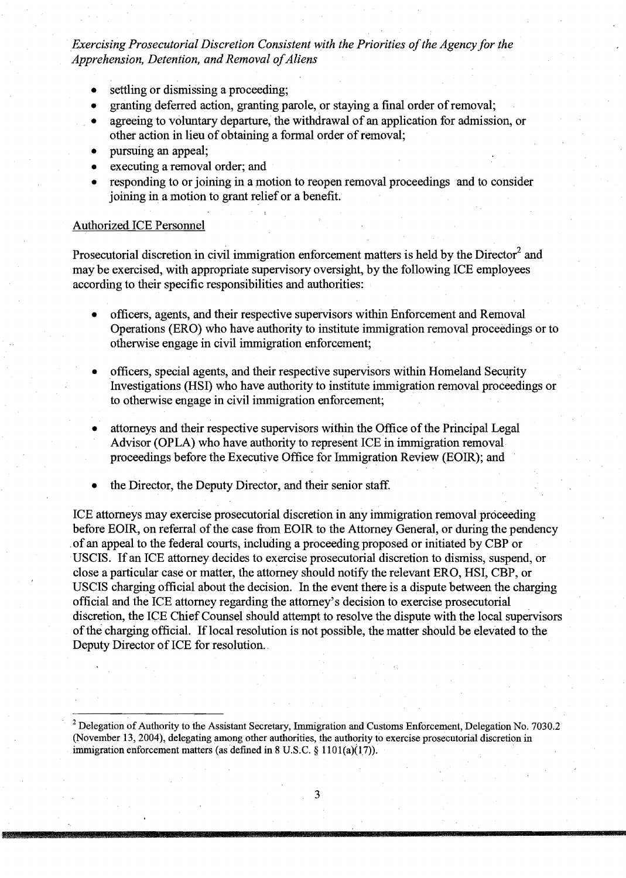*Exercising Prosecutorial Discretion Consistent with the Priorities of the Agency for the Apprehension, Detention, and Removal ofAliens* 

- settling or dismissing a proceeding;
- granting deferred action, granting parole, or staying a final order of removal;
- agreeing to voluntary departure, the withdrawal of an application for admission, or other action in lieu of obtaining a formal order of removal;
- pursuing an appeal;
- executing a removal order; and
- responding to or joining in a motion to reopen removal proceedings and to consider joining in a motion to grant relief or a benefit.

#### Authorized ICE Personnel

is

Prosecutorial discretion in civil immigration enforcement matters is held by the Director<sup>2</sup> and may be exercised, with appropriate supervisory oversight, by the following ICE employees according to their specific responsibilities and authorities:

- officers, agents, and their respective supervisors within Enforcement and Removal Operations (ERO) who have authority to institute immigration removal proceedings or to otherwise engage in civil immigration enforcement;
- officers, special agents, and their respective supervisors within Homeland Security. Investigations (HSI) who have authority to institute immigration removal proceedings or to otherwise engage in civil immigration enforcement;
- attorneys and their respective supervisors within the Office of the Principal Legal Advisor (OPLA) who have authority to represent ICE in immigration removal proceedings before the Executive Office for Immigration Review (EOIR); and
- the Director, the Deputy Director, and their senior staff.

ICE attorneys may exercise prosecutorial discretion in any immigration removal proceeding before EOIR, on referral of the case from EOIR to the Attorney General, or during the pendency of an appeal to the federal courts, including a proceeding proposed or initiated by CBP or USCIS. If an ICE attorney decides to exercise prosecutorial discretion to dismiss, suspend, or close a particular case or matter, the attorney should notify the relevant ERO, HSI, CBP, or USCIS charging official about the decision. In the event there is a dispute between the charging official and the ICE attorney regarding the attorney's decision to exercise prosecutorial discretion, the ICE Chief Counsel should attempt to resolve the dispute with the local supervisors ofthe charging officiaL Iflocal resolution is not possible, the matter should be elevated to the Deputy Director of ICE for resolution.

 $2^2$  Delegation of Authority to the Assistant Secretary, Immigration and Customs Enforcement, Delegation No. 7030.2 (November 13, 2004), delegating among other authorities, the authority to exercise prosecutorial discretion in immigration enforcement matters (as defined in  $8 \text{ U.S.C.} \$   $1101(a)(17)$ ).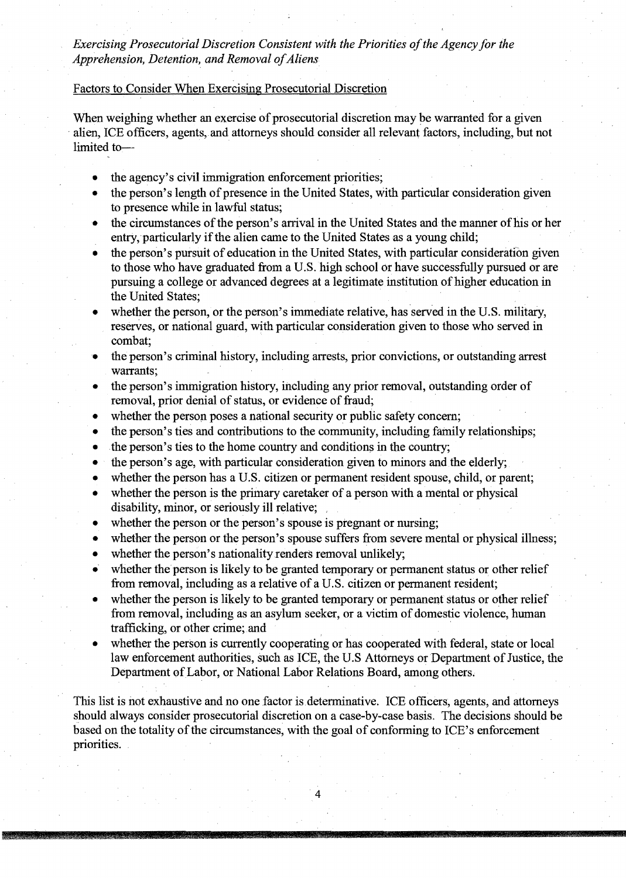# Exercising Prosecutorial Discretion Consistent with the Priorities of the Agency for the Apprehension, Detention, and Removal of Aliens

## Factors to Consider When Exercising Prosecutorial Discretion

When weighing whether an exercise of prosecutorial discretion may be warranted for a given alien, ICE officers, agents, and attorneys should consider all relevant factors, including, but not limited to

- the agency's civil immigration enforcement priorities;
- the person's length of presence in the United States, with particular consideration given to presence while in lawful status;
- $\bullet$  the circumstances of the person's arrival in the United States and the manner of his or her entry, particularly if the alien came to the United States as a young child;
- the person's pursuit of education in the United States, with particular consideration given to those who have graduated from a U.S. high school or have successfully pursued or are pursuing a college or advanced degrees at a legitimate institution of higher education in the United States;
- whether the person, or the person's immediate relative, has served in the U.S. military, reserves, or national guard, with particular consideration given to those who served in combat;
- the person's criminal history, including arrests, prior convictions, or outstanding arrest warrants;
- the person's immigration history, including any prior removal, outstanding order of removal, prior denial of status, or evidence of fraud;
- whether the person poses a national security or public safety concern;
- the person's ties and contributions to the community, including family relationships;
- $\bullet$  the person's ties to the home country and conditions in the country;
- $\bullet$  the person's age, with particular consideration given to minors and the elderly;
- whether the person has a U.S. citizen or permanent resident spouse, child, or parent;
- whether the person is the primary caretaker of a person with a mental or physical disability, minor, or seriously ill relative;
- whether the person or the person's spouse is pregnant or nursing;
- whether the person or the person's spouse suffers from severe mental or physical illness;
- whether the person's nationality renders removal unlikely;
- whether the person is likely to be granted temporary or permanent status or other relief from removal, including as a relative of a U.S. citizen or permanent resident;
- whether the person is likely to be granted temporary or permanent status or other relief from removal, including as an asylum seeker, or a victim of domestic violence, human trafficking, or other crime; and
- whether the person is currently cooperating or has cooperated with federal, state or local law enforcement authorities, such as ICE, the U.S Attorneys or Department of Justice, the Department of Labor, or National Labor Relations Board, among others.

This list is not exhaustive and no one factor is.determinative. ICE officers, agents, and attorneys should always consider prosecutorial discretion on a case-by-case basis. The decisions should be based on the totality of the circumstances, with the goal of conforming to ICE's enforcement priorities.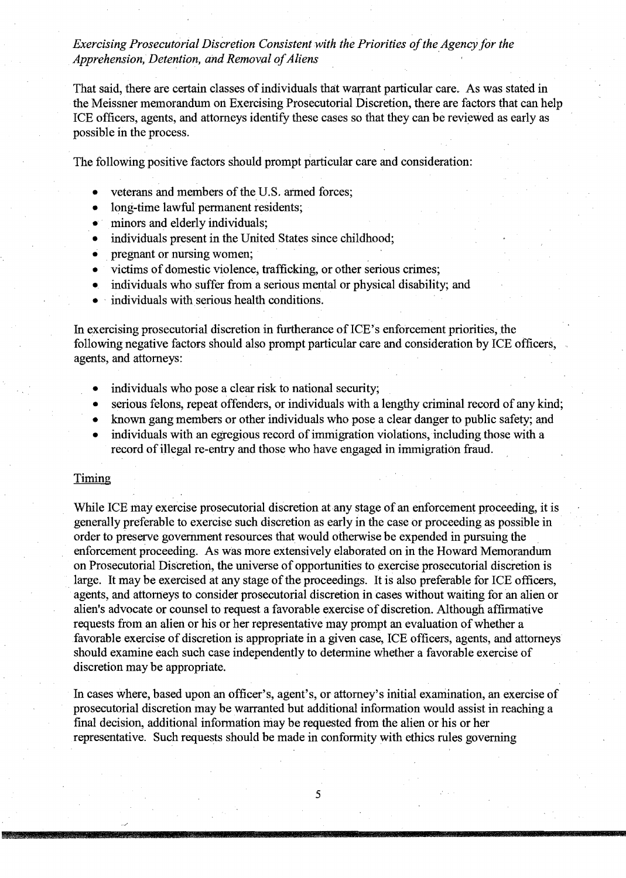# *Exercising Prosecutorial Discretion Consistent with the Priorities of the Agency for the Apprehension, Detention, and Removal ofAliens*

That said, there are certain classes of individuals that warrant particular care. As was stated in the Meissner memorandum on Exercising Prosecutorial Discretion, there are factors that can help ICE officers, agents, and attorneys identify these cases so that they can be reviewed as early as possible in the process.

The following positive factors should prompt particular care and consideration:

- veterans and members of the U.S. armed forces;
- long-time lawful permanent residents;
- minors and elderly individuals;
- individuals present in the United States since childhood;
- $\bullet$  pregnant or nursing women;

ka a bandar da ya bandar da ya gunda ya bandar da ya bandar da ya masa da ya kasa da ya kasa ya kasa ya kasa y<br>Wana wasan ƙwallon ƙafa ya kasa ƙasar ƙasar Ingila. Na kasa kasa ya kasa wa kasa wa kasa wa kasa wa kasa wa ka

- victims of domestic violence, trafficking, or other serious crimes;
- individuals who suffer from a serious mental or physical disability; and
- individuals with serious health conditions.

In exercising prosecutorial discretion in furtherance of ICE's enforcement priorities, the following negative factors should also prompt particular care and consideration by ICE officers, agents, and attorneys:

- individuals who pose a clear risk to national security;
- serious felons, repeat offenders, or individuals with a lengthy criminal record of any kind;
- known gang members or other individuals who pose a clear danger to public safety; and
- individuals with an egregious record of immigration violations, including those with a record of illegal re-entry and those who have engaged in immigration fraud.

### **Timing**

While ICE may exercise prosecutorial discretion at any stage of an enforcement proceeding, it is generally preferable to exercise such discretion as early in the case or proceeding as possible in order to preserve government resources that would otherwise be expended in pursuing the enforcement proceeding. As was more extensively elaborated on in the Howard Memorandum on Prosecutorial Discretion, the universe of opportunities to exercise prosecutorial discretion is large. It may be exercised at any stage of the proceedings. It is also preferable for ICE officers, agents, and attorneys to consider prosecutorial discretion in cases without waiting for an alien or alien's advocate or counsel to request a favorable exercise of discretion. Although affirmative requests from an alien or his or her representative may prompt an evaluation of whether a favorable exercise of discretion is appropriate in a given case, ICE officers, agents, and attorneys should examine each such case independently to determine whether a favorable exercise of discretion may be appropriate.

In cases where, based upon an officer's, agent's, or attorney's initial examination, an exercise of prosecutorial discretion may be warranted but additional information would assist in reaching a final decision, additional information may be requested from the alien or his or her representative. Such requests should be made in conformity with ethics rules governing

5